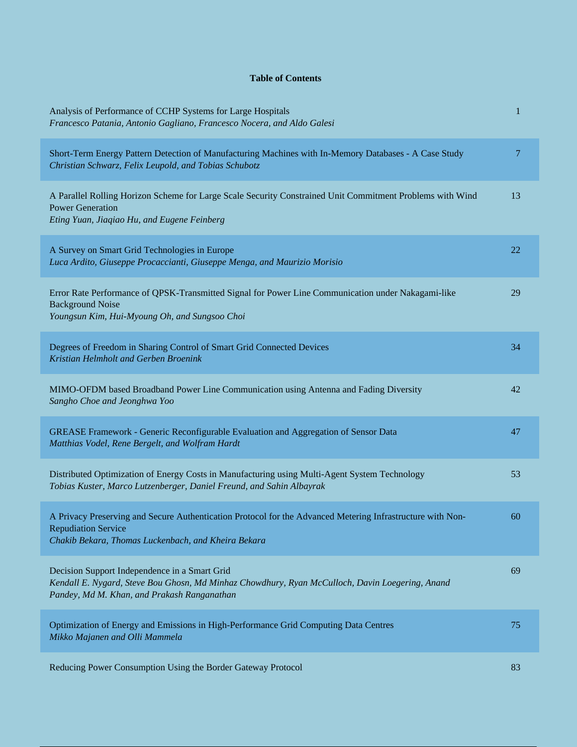## **Table of Contents**

| Analysis of Performance of CCHP Systems for Large Hospitals<br>Francesco Patania, Antonio Gagliano, Francesco Nocera, and Aldo Galesi                                                           | 1  |
|-------------------------------------------------------------------------------------------------------------------------------------------------------------------------------------------------|----|
| Short-Term Energy Pattern Detection of Manufacturing Machines with In-Memory Databases - A Case Study<br>Christian Schwarz, Felix Leupold, and Tobias Schubotz                                  | 7  |
| A Parallel Rolling Horizon Scheme for Large Scale Security Constrained Unit Commitment Problems with Wind<br><b>Power Generation</b><br>Eting Yuan, Jiaqiao Hu, and Eugene Feinberg             | 13 |
| A Survey on Smart Grid Technologies in Europe<br>Luca Ardito, Giuseppe Procaccianti, Giuseppe Menga, and Maurizio Morisio                                                                       | 22 |
| Error Rate Performance of QPSK-Transmitted Signal for Power Line Communication under Nakagami-like<br><b>Background Noise</b><br>Youngsun Kim, Hui-Myoung Oh, and Sungsoo Choi                  | 29 |
| Degrees of Freedom in Sharing Control of Smart Grid Connected Devices<br>Kristian Helmholt and Gerben Broenink                                                                                  | 34 |
| MIMO-OFDM based Broadband Power Line Communication using Antenna and Fading Diversity<br>Sangho Choe and Jeonghwa Yoo                                                                           | 42 |
| GREASE Framework - Generic Reconfigurable Evaluation and Aggregation of Sensor Data<br>Matthias Vodel, Rene Bergelt, and Wolfram Hardt                                                          | 47 |
| Distributed Optimization of Energy Costs in Manufacturing using Multi-Agent System Technology<br>Tobias Kuster, Marco Lutzenberger, Daniel Freund, and Sahin Albayrak                           | 53 |
| A Privacy Preserving and Secure Authentication Protocol for the Advanced Metering Infrastructure with Non-<br><b>Repudiation Service</b><br>Chakib Bekara, Thomas Luckenbach, and Kheira Bekara | 60 |
| Decision Support Independence in a Smart Grid<br>Kendall E. Nygard, Steve Bou Ghosn, Md Minhaz Chowdhury, Ryan McCulloch, Davin Loegering, Anand<br>Pandey, Md M. Khan, and Prakash Ranganathan | 69 |
| Optimization of Energy and Emissions in High-Performance Grid Computing Data Centres<br>Mikko Majanen and Olli Mammela                                                                          | 75 |
| Reducing Power Consumption Using the Border Gateway Protocol                                                                                                                                    | 83 |